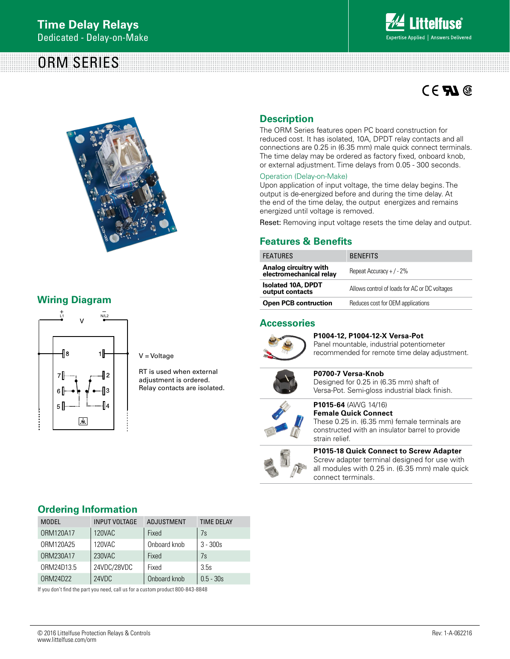# ORM SERIES



# $CE$  **Al**  $@$



# **Wiring Diagram**



V = Voltage

RT is used when external adjustment is ordered. Relay contacts are isolated.

# **Description**

The ORM Series features open PC board construction for reduced cost. It has isolated, 10A, DPDT relay contacts and all connections are 0.25 in (6.35 mm) male quick connect terminals. The time delay may be ordered as factory fixed, onboard knob, or external adjustment. Time delays from 0.05 - 300 seconds.

### Operation (Delay-on-Make)

Upon application of input voltage, the time delay begins. The output is de-energized before and during the time delay. At the end of the time delay, the output energizes and remains energized until voltage is removed.

Reset: Removing input voltage resets the time delay and output.

### **Features & Benefits**

| <b>FEATURES</b>                                  | <b>BENEFITS</b>                               |  |
|--------------------------------------------------|-----------------------------------------------|--|
| Analog circuitry with<br>electromechanical relay | Repeat Accuracy + $/ - 2\%$                   |  |
| <b>Isolated 10A, DPDT</b><br>output contacts     | Allows control of loads for AC or DC voltages |  |
| <b>Open PCB contruction</b>                      | Reduces cost for OEM applications             |  |

### **Accessories**



**P1004-12, P1004-12-X Versa-Pot**  Panel mountable, industrial potentiometer recommended for remote time delay adjustment.



**P0700-7 Versa-Knob** Designed for 0.25 in (6.35 mm) shaft of Versa-Pot. Semi-gloss industrial black finish.

**P1015-64** (AWG 14/16)

### **Female Quick Connect** These 0.25 in. (6.35 mm) female terminals are constructed with an insulator barrel to provide strain relief.



**P1015-18 Quick Connect to Screw Adapter** Screw adapter terminal designed for use with all modules with 0.25 in. (6.35 mm) male quick connect terminals.

# **Ordering Information**

| <b>MODEL</b> | <b>INPUT VOLTAGE</b> | <b>ADJUSTMENT</b> | <b>TIME DELAY</b> |
|--------------|----------------------|-------------------|-------------------|
| ORM120A17    | 120VAC               | Fixed             | 7s                |
| 0RM120A25    | 120VAC               | Onboard knob      | $3 - 300s$        |
| ORM230A17    | 230VAC               | Fixed             | 7s                |
| ORM24D13.5   | 24VDC/28VDC          | Fixed             | 3.5s              |
| ORM24D22     | 24VDC                | Onboard knob      | $0.5 - 30s$       |

If you don't find the part you need, call us for a custom product 800-843-8848